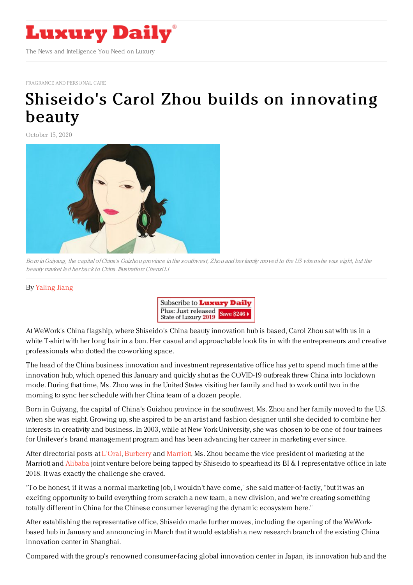

[FRAGRANCE](https://www.luxurydaily.com/category/sectors/fragrance-and-personal-care/) AND PERSONAL CARE

## Shiseido's Carol Zhou builds on [innovating](https://www.luxurydaily.com/shiseidos-carol-zhou-builds-on-innovating-beauty/) beauty

October 15, 2020



Born inGuiyang, the capital ofChina's Guizhou province in the southwest, Zhou and her family moved to the US when she was eight, but the beauty market led her back to China. Illustration: Chenxi Li

## By [Yaling](https://jingdaily.com/author/yaling-jiang/) Jiang



At WeWork's China flagship, where Shiseido's China beauty innovation hub is based, Carol Zhou sat with us in a white T-shirt with her long hair in a bun. Her casual and approachable look fits in with the entrepreneurs and creative professionals who dotted the co-working space.

The head of the China business innovation and investment representative office has yet to spend much time at the innovation hub, which opened this January and quickly shut as the COVID-19 outbreak threw China into lockdown mode. During that time, Ms. Zhou was in the United States visiting her family and had to work until two in the morning to sync her schedule with her China team of a dozen people.

Born in Guiyang, the capital of China's Guizhou province in the southwest, Ms. Zhou and her family moved to the U.S. when she was eight. Growing up, she aspired to be an artist and fashion designer until she decided to combine her interests in creativity and business. In 2003, while at New York University, she was chosen to be one of four trainees for Unilever's brand management program and has been advancing her career in marketing ever since.

After directorial posts at [L'Oral](https://jingdaily.com/loreal-holds-tight-as-china-keeps-up-growth/), [Burberry](https://jingdaily.com/?s=Burberry) and [Marriott](https://jingdaily.com/?s=Marriott), Ms. Zhou became the vice president of marketing at the Marriott and [Alibaba](https://jingdaily.com/?s=Alibaba) joint venture before being tapped by Shiseido to spearhead its BI & I representative office in late 2018. It was exactly the challenge she craved.

"To be honest, if it was a normal marketing job, I wouldn't have come," she said matter-of-factly, "but it was an exciting opportunity to build everything from scratch a new team, a new division, and we're creating something totally different in China for the Chinese consumer leveraging the dynamic ecosystem here."

After establishing the representative office, Shiseido made further moves, including the opening of the WeWorkbased hub in January and announcing in March that it would establish a new research branch of the existing China innovation center in Shanghai.

Compared with the group's renowned consumer-facing global innovation center in Japan, its innovation hub and the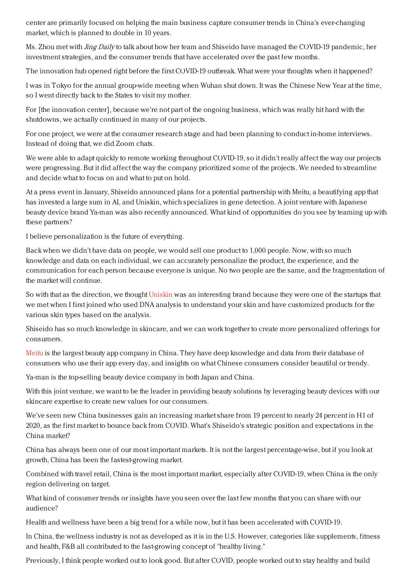center are primarily focused on helping the main business capture consumer trends in China's ever-changing market, which is planned to double in 10 years.

Ms. Zhou met with *Jing Daily* to talk about how her team and Shiseido have managed the COVID-19 pandemic, her investment strategies, and the consumer trends that have accelerated over the past few months.

The innovation hub opened right before the first COVID-19 outbreak. What were your thoughts when it happened?

I was in Tokyo for the annual group-wide meeting when Wuhan shut down. It was the Chinese New Year at the time, so I went directly back to the States to visit my mother.

For [the innovation center], because we're not part of the ongoing business, which was really hit hard with the shutdowns, we actually continued in many of our projects.

For one project, we were at the consumer research stage and had been planning to conduct in-home interviews. Instead of doing that, we did Zoom chats.

We were able to adapt quickly to remote working throughout COVID-19, so it didn't really affect the way our projects were progressing. But it did affect the way the company prioritized some of the projects. We needed to streamline and decide what to focus on and what to put on hold.

At a press event in January, Shiseido announced plans for a potential partnership with Meitu, a beautifying app that has invested a large sum in AI, and Uniskin, which specializes in gene detection. A joint venture with Japanese beauty device brand Ya-man was also recently announced. What kind of opportunities do you see by teaming up with these partners?

I believe personalization is the future of everything.

Back when we didn't have data on people, we would sell one product to 1,000 people. Now, with so much knowledge and data on each individual, we can accurately personalize the product, the experience, and the communication for each person because everyone is unique. No two people are the same, and the fragmentation of the market will continue.

So with that as the direction, we thought [Uniskin](https://www.uniskin.com.cn/homepage/m/) was an interesting brand because they were one of the startups that we met when I first joined who used DNA analysis to understand your skin and have customized products for the various skin types based on the analysis.

Shiseido has so much knowledge in skincare, and we can work together to create more personalized offerings for consumers.

[Meitu](https://www.meitu.com/en/) is the largest beauty app company in China. They have deep knowledge and data from their database of consumers who use their app every day, and insights on what Chinese consumers consider beautiful or trendy.

Ya-man is the top-selling beauty device company in both Japan and China.

With this joint venture, we want to be the leader in providing beauty solutions by leveraging beauty devices with our skincare expertise to create new values for our consumers.

We've seen new China businesses gain an increasing market share from 19 percent to nearly 24 percent in H1 of 2020, as the first market to bounce back from COVID. What's Shiseido's strategic position and expectations in the China market?

China has always been one of our most important markets. It is not the largest percentage-wise, but if you look at growth, China has been the fastest-growing market.

Combined with travel retail, China is the most important market, especially after COVID-19, when China is the only region delivering on target.

What kind of consumer trends or insights have you seen over the last few months that you can share with our audience?

Health and wellness have been a big trend for a while now, but it has been accelerated with COVID-19.

In China, the wellness industry is not as developed as it is in the U.S. However, categories like supplements, fitness and health, F&B all contributed to the fast-growing concept of "healthy living."

Previously, I think people worked out to look good. But after COVID, people worked out to stay healthy and build